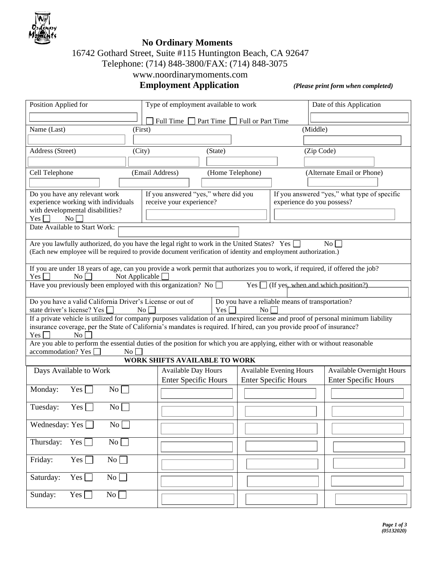

## **No Ordinary Moments**

# 16742 Gothard Street, Suite #115 Huntington Beach, CA 92647

Telephone: (714) 848-3800/FAX: (714) 848-3075

## www.noordinarymoments.com

 **Employment Application** *(Please print form when completed)*

| Position Applied for                                                                                                                                                   | Type of employment available to work             |                                                     |                                                                   |            | Date of this Application                     |  |  |
|------------------------------------------------------------------------------------------------------------------------------------------------------------------------|--------------------------------------------------|-----------------------------------------------------|-------------------------------------------------------------------|------------|----------------------------------------------|--|--|
|                                                                                                                                                                        |                                                  | Full Time $\Box$ Part Time $\Box$ Full or Part Time |                                                                   |            |                                              |  |  |
| Name (Last)<br>(First)                                                                                                                                                 |                                                  |                                                     |                                                                   | (Middle)   |                                              |  |  |
|                                                                                                                                                                        |                                                  |                                                     |                                                                   |            |                                              |  |  |
| Address (Street)<br>(City)                                                                                                                                             |                                                  | (State)                                             |                                                                   | (Zip Code) |                                              |  |  |
|                                                                                                                                                                        |                                                  |                                                     |                                                                   |            |                                              |  |  |
| Cell Telephone                                                                                                                                                         | (Email Address)                                  | (Home Telephone)                                    |                                                                   |            | (Alternate Email or Phone)                   |  |  |
|                                                                                                                                                                        |                                                  |                                                     |                                                                   |            |                                              |  |  |
| Do you have any relevant work                                                                                                                                          | If you answered "yes," where did you             |                                                     |                                                                   |            | If you answered "yes," what type of specific |  |  |
| experience working with individuals<br>with developmental disabilities?                                                                                                |                                                  | receive your experience?                            |                                                                   |            | experience do you possess?                   |  |  |
| $\mathbb{N}\mathfrak{o}$<br>Yes <sup>[1]</sup>                                                                                                                         |                                                  |                                                     |                                                                   |            |                                              |  |  |
| Date Available to Start Work:                                                                                                                                          |                                                  |                                                     |                                                                   |            |                                              |  |  |
| Are you lawfully authorized, do you have the legal right to work in the United States? Yes                                                                             |                                                  |                                                     |                                                                   |            | N <sub>0</sub>                               |  |  |
| (Each new employee will be required to provide document verification of identity and employment authorization.)                                                        |                                                  |                                                     |                                                                   |            |                                              |  |  |
|                                                                                                                                                                        |                                                  |                                                     |                                                                   |            |                                              |  |  |
| If you are under 18 years of age, can you provide a work permit that authorizes you to work, if required, if offered the job?<br>Yes<br>Not Applicable<br>$\rm{No}$    |                                                  |                                                     |                                                                   |            |                                              |  |  |
| Have you previously been employed with this organization? No $\llbracket$                                                                                              |                                                  |                                                     | $Yes$ (If yes, when and which position?)                          |            |                                              |  |  |
|                                                                                                                                                                        |                                                  |                                                     |                                                                   |            |                                              |  |  |
| Do you have a valid California Driver's License or out of<br>state driver's license? Yes                                                                               | $\vert$ No $\vert$ <sup><math>\vert</math></sup> | Yes                                                 | Do you have a reliable means of transportation?<br>N <sub>0</sub> |            |                                              |  |  |
| If a private vehicle is utilized for company purposes validation of an unexpired license and proof of personal minimum liability                                       |                                                  |                                                     |                                                                   |            |                                              |  |  |
| insurance coverage, per the State of California's mandates is required. If hired, can you provide proof of insurance?                                                  |                                                  |                                                     |                                                                   |            |                                              |  |  |
| N <sub>o</sub><br>Yes                                                                                                                                                  |                                                  |                                                     |                                                                   |            |                                              |  |  |
| Are you able to perform the essential duties of the position for which you are applying, either with or without reasonable<br>accommodation? Yes<br>$\vert$ No $\vert$ |                                                  |                                                     |                                                                   |            |                                              |  |  |
| <b>WORK SHIFTS AVAILABLE TO WORK</b>                                                                                                                                   |                                                  |                                                     |                                                                   |            |                                              |  |  |
| Days Available to Work                                                                                                                                                 | Available Day Hours                              |                                                     | <b>Available Evening Hours</b>                                    |            | <b>Available Overnight Hours</b>             |  |  |
|                                                                                                                                                                        | <b>Enter Specific Hours</b>                      |                                                     | <b>Enter Specific Hours</b>                                       |            | <b>Enter Specific Hours</b>                  |  |  |
| Monday:<br>Yes [<br>$\overline{N_0}$                                                                                                                                   |                                                  |                                                     |                                                                   |            |                                              |  |  |
| Tuesday:<br>Yes                                                                                                                                                        |                                                  |                                                     |                                                                   |            |                                              |  |  |
| No                                                                                                                                                                     |                                                  |                                                     |                                                                   |            |                                              |  |  |
| Wednesday: Yes $\Box$<br>No                                                                                                                                            |                                                  |                                                     |                                                                   |            |                                              |  |  |
|                                                                                                                                                                        |                                                  |                                                     |                                                                   |            |                                              |  |  |
| No<br>Thursday:<br>$Yes \Box$                                                                                                                                          |                                                  |                                                     |                                                                   |            |                                              |  |  |
|                                                                                                                                                                        |                                                  |                                                     |                                                                   |            |                                              |  |  |
|                                                                                                                                                                        |                                                  |                                                     |                                                                   |            |                                              |  |  |
| No<br>Friday:<br>Yes                                                                                                                                                   |                                                  |                                                     |                                                                   |            |                                              |  |  |
| $No \Box$<br>Saturday:<br>$Yes \Gamma$                                                                                                                                 |                                                  |                                                     |                                                                   |            |                                              |  |  |
| Sunday:<br>No<br>$Yes \Box$                                                                                                                                            |                                                  |                                                     |                                                                   |            |                                              |  |  |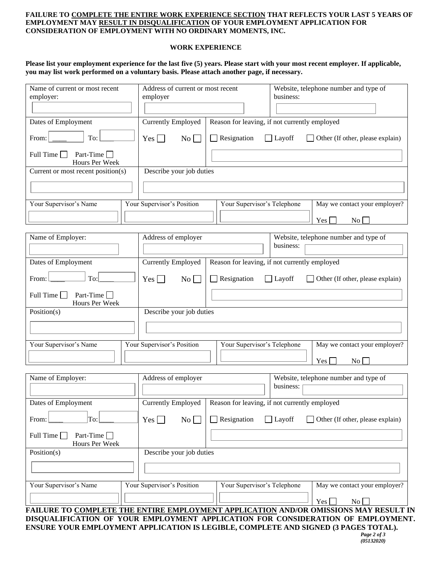#### **FAILURE TO COMPLETE THE ENTIRE WORK EXPERIENCE SECTION THAT REFLECTS YOUR LAST 5 YEARS OF EMPLOYMENT MAY RESULT IN DISQUALIFICATION OF YOUR EMPLOYMENT APPLICATION FOR CONSIDERATION OF EMPLOYMENT WITH NO ORDINARY MOMENTS, INC.**

### **WORK EXPERIENCE**

**Please list your employment experience for the last five (5) years. Please start with your most recent employer. If applicable, you may list work performed on a voluntary basis. Please attach another page, if necessary.**

| Name of current or most recent<br>employer:               |  | Address of current or most recent<br>employer |                             | Website, telephone number and type of<br>business:                                                                                                                                                                                                              |  |  |  |
|-----------------------------------------------------------|--|-----------------------------------------------|-----------------------------|-----------------------------------------------------------------------------------------------------------------------------------------------------------------------------------------------------------------------------------------------------------------|--|--|--|
|                                                           |  |                                               |                             |                                                                                                                                                                                                                                                                 |  |  |  |
| Dates of Employment                                       |  | <b>Currently Employed</b>                     |                             | Reason for leaving, if not currently employed                                                                                                                                                                                                                   |  |  |  |
| To:<br>From:                                              |  | $Yes \Box$<br>No                              | Resignation                 | Other (If other, please explain)<br>$\Box$ Layoff                                                                                                                                                                                                               |  |  |  |
| Full Time $\Box$<br>Part-Time $\Box$<br>Hours Per Week    |  |                                               |                             |                                                                                                                                                                                                                                                                 |  |  |  |
| Current or most recent position(s)                        |  | Describe your job duties                      |                             |                                                                                                                                                                                                                                                                 |  |  |  |
| Your Supervisor's Name                                    |  | Your Supervisor's Position                    | Your Supervisor's Telephone | May we contact your employer?                                                                                                                                                                                                                                   |  |  |  |
|                                                           |  |                                               |                             | $\vert$ No $\vert$<br>Yes                                                                                                                                                                                                                                       |  |  |  |
| Name of Employer:                                         |  | Address of employer                           |                             | Website, telephone number and type of<br>business:                                                                                                                                                                                                              |  |  |  |
| Dates of Employment                                       |  | <b>Currently Employed</b>                     |                             | Reason for leaving, if not currently employed                                                                                                                                                                                                                   |  |  |  |
| To:<br>From:                                              |  | $Yes$ $\Box$<br>$\overline{N_0}$              | Resignation                 | $\Box$ Layoff<br>$\Box$ Other (If other, please explain)                                                                                                                                                                                                        |  |  |  |
| Part-Time $\square$<br>Full Time $\Box$<br>Hours Per Week |  |                                               |                             |                                                                                                                                                                                                                                                                 |  |  |  |
| Position(s)                                               |  | Describe your job duties                      |                             |                                                                                                                                                                                                                                                                 |  |  |  |
|                                                           |  |                                               |                             |                                                                                                                                                                                                                                                                 |  |  |  |
| Your Supervisor's Name                                    |  | Your Supervisor's Position                    | Your Supervisor's Telephone | May we contact your employer?<br>$\overline{N_{0}}$<br>Yes                                                                                                                                                                                                      |  |  |  |
|                                                           |  |                                               |                             |                                                                                                                                                                                                                                                                 |  |  |  |
| Name of Employer:                                         |  | Address of employer                           |                             | Website, telephone number and type of<br>business:                                                                                                                                                                                                              |  |  |  |
| Dates of Employment                                       |  | <b>Currently Employed</b>                     |                             | Reason for leaving, if not currently employed                                                                                                                                                                                                                   |  |  |  |
| To:<br>From:                                              |  | $No \Box$<br>$Yes \Box$                       | Resignation                 | $\Box$ Layoff<br>Other (If other, please explain)                                                                                                                                                                                                               |  |  |  |
| Full Time [<br>Part-Time<br>Hours Per Week                |  |                                               |                             |                                                                                                                                                                                                                                                                 |  |  |  |
| Position(s)                                               |  | Describe your job duties                      |                             |                                                                                                                                                                                                                                                                 |  |  |  |
| Your Supervisor's Name                                    |  | Your Supervisor's Position                    | Your Supervisor's Telephone | May we contact your employer?                                                                                                                                                                                                                                   |  |  |  |
|                                                           |  |                                               |                             | $\vert \text{No} \vert \text{S}$<br>Yes                                                                                                                                                                                                                         |  |  |  |
|                                                           |  |                                               |                             | FAILURE TO COMPLETE THE ENTIRE EMPLOYMENT APPLICATION AND/OR OMISSIONS MAY RESULT IN<br>DISQUALIFICATION OF YOUR EMPLOYMENT APPLICATION FOR CONSIDERATION OF EMPLOYMENT.<br>ENSURE YOUR EMPLOYMENT APPLICATION IS LEGIBLE, COMPLETE AND SIGNED (3 PAGES TOTAL). |  |  |  |